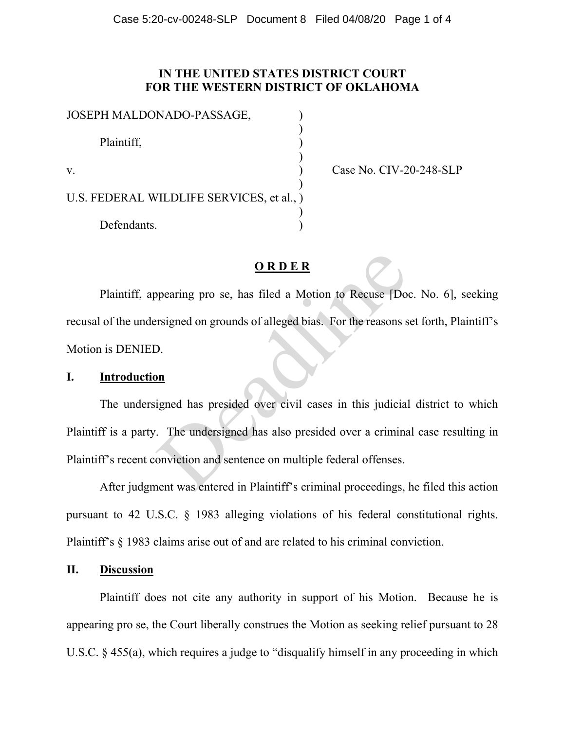## **IN THE UNITED STATES DISTRICT COURT FOR THE WESTERN DISTRICT OF OKLAHOMA**

| JOSEPH MALDONADO-PASSAGE,                 |  |
|-------------------------------------------|--|
| Plaintiff,                                |  |
| $V_{\cdot}$                               |  |
| U.S. FEDERAL WILDLIFE SERVICES, et al., ) |  |
| Defendants.                               |  |

Case No. CIV-20-248-SLP

# **O R D E R**

Plaintiff, appearing pro se, has filed a Motion to Recuse [Doc. No. 6], seeking recusal of the undersigned on grounds of alleged bias. For the reasons set forth, Plaintiff's Motion is DENIED. Deadline

#### **I. Introduction**

The undersigned has presided over civil cases in this judicial district to which Plaintiff is a party. The undersigned has also presided over a criminal case resulting in Plaintiff's recent conviction and sentence on multiple federal offenses.

After judgment was entered in Plaintiff's criminal proceedings, he filed this action pursuant to 42 U.S.C. § 1983 alleging violations of his federal constitutional rights. Plaintiff's § 1983 claims arise out of and are related to his criminal conviction.

### **II. Discussion**

Plaintiff does not cite any authority in support of his Motion. Because he is appearing pro se, the Court liberally construes the Motion as seeking relief pursuant to 28 U.S.C. § 455(a), which requires a judge to "disqualify himself in any proceeding in which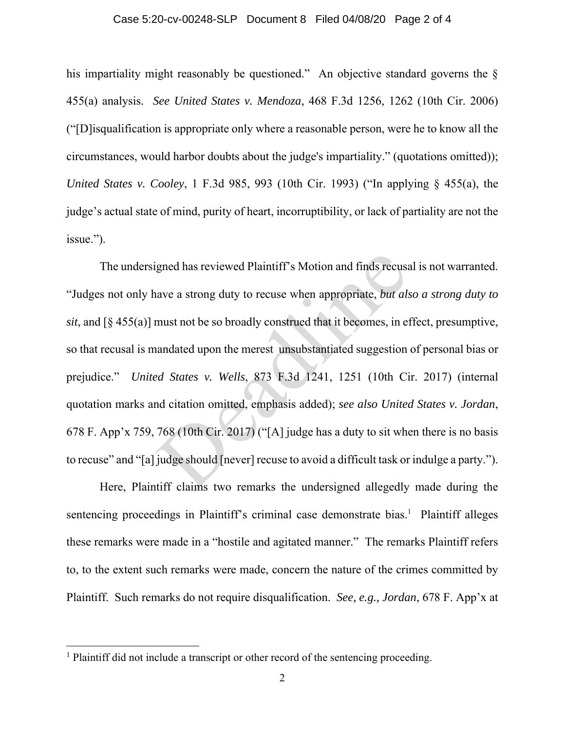#### Case 5:20-cv-00248-SLP Document 8 Filed 04/08/20 Page 2 of 4

his impartiality might reasonably be questioned." An objective standard governs the § 455(a) analysis. *See United States v. Mendoza*, 468 F.3d 1256, 1262 (10th Cir. 2006) ("[D]isqualification is appropriate only where a reasonable person, were he to know all the circumstances, would harbor doubts about the judge's impartiality." (quotations omitted)); *United States v. Cooley*, 1 F.3d 985, 993 (10th Cir. 1993) ("In applying § 455(a), the judge's actual state of mind, purity of heart, incorruptibility, or lack of partiality are not the issue.").

 The undersigned has reviewed Plaintiff's Motion and finds recusal is not warranted. "Judges not only have a strong duty to recuse when appropriate, *but also a strong duty to sit*, and [§ 455(a)] must not be so broadly construed that it becomes, in effect, presumptive, so that recusal is mandated upon the merest unsubstantiated suggestion of personal bias or prejudice." *United States v. Wells*, 873 F.3d 1241, 1251 (10th Cir. 2017) (internal quotation marks and citation omitted, emphasis added); *see also United States v. Jordan*, 678 F. App'x 759, 768 (10th Cir. 2017) ("[A] judge has a duty to sit when there is no basis to recuse" and "[a] judge should [never] recuse to avoid a difficult task or indulge a party."). gned has reviewed Plaintiff's Motion and finds recuse<br>aave a strong duty to recuse when appropriate, *but als*<br>must not be so broadly construed that it becomes, in e<br>andated upon the merest unsubstantiated suggestion<br>*ed S* 

 Here, Plaintiff claims two remarks the undersigned allegedly made during the sentencing proceedings in Plaintiff's criminal case demonstrate bias.<sup>1</sup> Plaintiff alleges these remarks were made in a "hostile and agitated manner." The remarks Plaintiff refers to, to the extent such remarks were made, concern the nature of the crimes committed by Plaintiff. Such remarks do not require disqualification. *See, e.g., Jordan*, 678 F. App'x at

<sup>&</sup>lt;sup>1</sup> Plaintiff did not include a transcript or other record of the sentencing proceeding.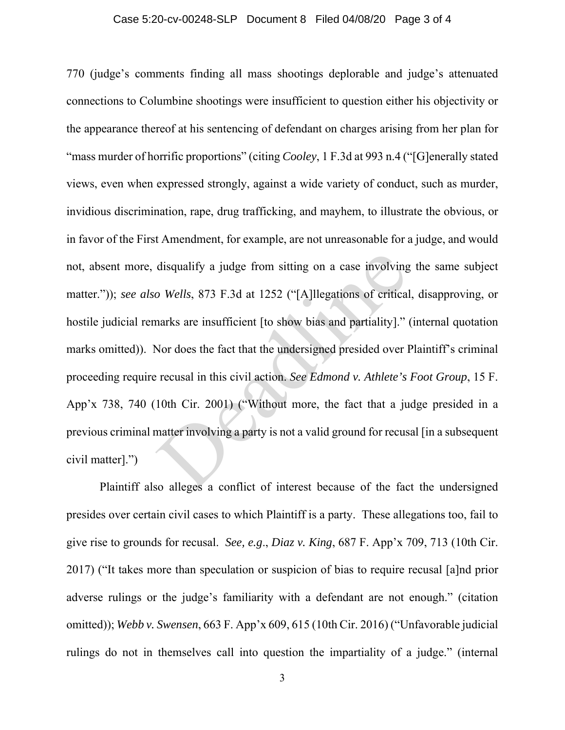## Case 5:20-cv-00248-SLP Document 8 Filed 04/08/20 Page 3 of 4

770 (judge's comments finding all mass shootings deplorable and judge's attenuated connections to Columbine shootings were insufficient to question either his objectivity or the appearance thereof at his sentencing of defendant on charges arising from her plan for "mass murder of horrific proportions" (citing *Cooley*, 1 F.3d at 993 n.4 ("[G]enerally stated views, even when expressed strongly, against a wide variety of conduct, such as murder, invidious discrimination, rape, drug trafficking, and mayhem, to illustrate the obvious, or in favor of the First Amendment, for example, are not unreasonable for a judge, and would not, absent more, disqualify a judge from sitting on a case involving the same subject matter.")); *see also Wells*, 873 F.3d at 1252 ("[A]llegations of critical, disapproving, or hostile judicial remarks are insufficient [to show bias and partiality]." (internal quotation marks omitted)). Nor does the fact that the undersigned presided over Plaintiff's criminal proceeding require recusal in this civil action. *See Edmond v. Athlete's Foot Group*, 15 F. App'x 738, 740 (10th Cir. 2001) ("Without more, the fact that a judge presided in a previous criminal matter involving a party is not a valid ground for recusal [in a subsequent civil matter].") disqualify a judge from sitting on a case involving<br>  $\omega$  Wells, 873 F.3d at 1252 ("[A]llegations of critical<br>
narks are insufficient [to show bias and partiality]."<br>
Nor does the fact that the undersigned presided over l

 Plaintiff also alleges a conflict of interest because of the fact the undersigned presides over certain civil cases to which Plaintiff is a party. These allegations too, fail to give rise to grounds for recusal. *See, e.g*., *Diaz v. King*, 687 F. App'x 709, 713 (10th Cir. 2017) ("It takes more than speculation or suspicion of bias to require recusal [a]nd prior adverse rulings or the judge's familiarity with a defendant are not enough." (citation omitted)); *Webb v. Swensen*, 663 F. App'x 609, 615 (10th Cir. 2016) ("Unfavorable judicial rulings do not in themselves call into question the impartiality of a judge." (internal